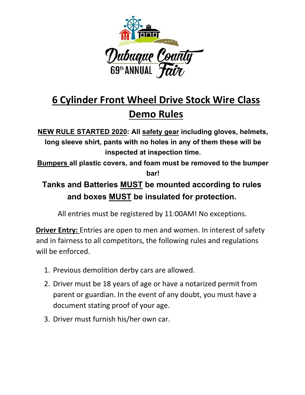

# **6 Cylinder Front Wheel Drive Stock Wire Class Demo Rules**

**NEW RULE STARTED 2020: All safety gear including gloves, helmets, long sleeve shirt, pants with no holes in any of them these will be inspected at inspection time.** 

**Bumpers all plastic covers, and foam must be removed to the bumper bar!**

## **Tanks and Batteries MUST be mounted according to rules and boxes MUST be insulated for protection.**

All entries must be registered by 11:00AM! No exceptions.

**Driver Entry:** Entries are open to men and women. In interest of safety and in fairness to all competitors, the following rules and regulations will be enforced.

- 1. Previous demolition derby cars are allowed.
- 2. Driver must be 18 years of age or have a notarized permit from parent or guardian. In the event of any doubt, you must have a document stating proof of your age.
- 3. Driver must furnish his/her own car.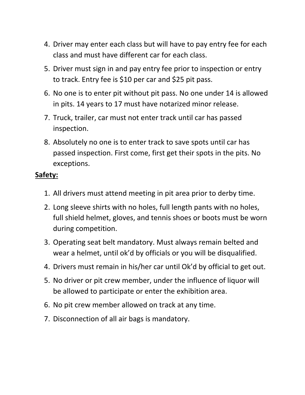- 4. Driver may enter each class but will have to pay entry fee for each class and must have different car for each class.
- 5. Driver must sign in and pay entry fee prior to inspection or entry to track. Entry fee is \$10 per car and \$25 pit pass.
- 6. No one is to enter pit without pit pass. No one under 14 is allowed in pits. 14 years to 17 must have notarized minor release.
- 7. Truck, trailer, car must not enter track until car has passed inspection.
- 8. Absolutely no one is to enter track to save spots until car has passed inspection. First come, first get their spots in the pits. No exceptions.

#### **Safety:**

- 1. All drivers must attend meeting in pit area prior to derby time.
- 2. Long sleeve shirts with no holes, full length pants with no holes, full shield helmet, gloves, and tennis shoes or boots must be worn during competition.
- 3. Operating seat belt mandatory. Must always remain belted and wear a helmet, until ok'd by officials or you will be disqualified.
- 4. Drivers must remain in his/her car until Ok'd by official to get out.
- 5. No driver or pit crew member, under the influence of liquor will be allowed to participate or enter the exhibition area.
- 6. No pit crew member allowed on track at any time.
- 7. Disconnection of all air bags is mandatory.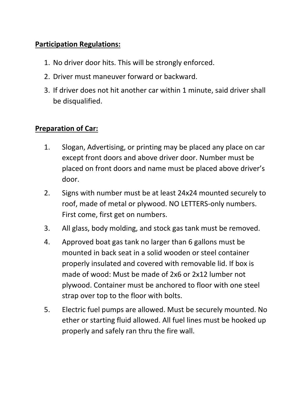#### **Participation Regulations:**

- 1. No driver door hits. This will be strongly enforced.
- 2. Driver must maneuver forward or backward.
- 3. If driver does not hit another car within 1 minute, said driver shall be disqualified.

#### **Preparation of Car:**

- 1. Slogan, Advertising, or printing may be placed any place on car except front doors and above driver door. Number must be placed on front doors and name must be placed above driver's door.
- 2. Signs with number must be at least 24x24 mounted securely to roof, made of metal or plywood. NO LETTERS‐only numbers. First come, first get on numbers.
- 3. All glass, body molding, and stock gas tank must be removed.
- 4. Approved boat gas tank no larger than 6 gallons must be mounted in back seat in a solid wooden or steel container properly insulated and covered with removable lid. If box is made of wood: Must be made of 2x6 or 2x12 lumber not plywood. Container must be anchored to floor with one steel strap over top to the floor with bolts.
- 5. Electric fuel pumps are allowed. Must be securely mounted. No ether or starting fluid allowed. All fuel lines must be hooked up properly and safely ran thru the fire wall.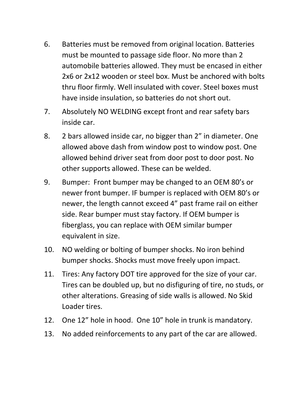- 6. Batteries must be removed from original location. Batteries must be mounted to passage side floor. No more than 2 automobile batteries allowed. They must be encased in either 2x6 or 2x12 wooden or steel box. Must be anchored with bolts thru floor firmly. Well insulated with cover. Steel boxes must have inside insulation, so batteries do not short out.
- 7. Absolutely NO WELDING except front and rear safety bars inside car.
- 8. 2 bars allowed inside car, no bigger than 2" in diameter. One allowed above dash from window post to window post. One allowed behind driver seat from door post to door post. No other supports allowed. These can be welded.
- 9. Bumper: Front bumper may be changed to an OEM 80's or newer front bumper. IF bumper is replaced with OEM 80's or newer, the length cannot exceed 4" past frame rail on either side. Rear bumper must stay factory. If OEM bumper is fiberglass, you can replace with OEM similar bumper equivalent in size.
- 10. NO welding or bolting of bumper shocks. No iron behind bumper shocks. Shocks must move freely upon impact.
- 11. Tires: Any factory DOT tire approved for the size of your car. Tires can be doubled up, but no disfiguring of tire, no studs, or other alterations. Greasing of side walls is allowed. No Skid Loader tires.
- 12. One 12" hole in hood. One 10" hole in trunk is mandatory.
- 13. No added reinforcements to any part of the car are allowed.